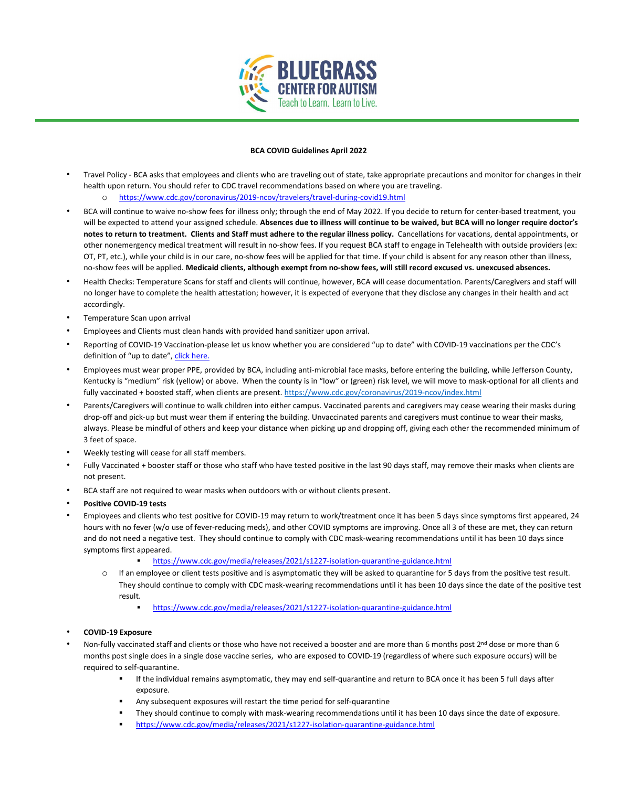

## **BCA COVID Guidelines April 2022**

- Travel Policy BCA asks that employees and clients who are traveling out of state, take appropriate precautions and monitor for changes in their health upon return. You should refer to CDC travel recommendations based on where you are traveling. o <https://www.cdc.gov/coronavirus/2019-ncov/travelers/travel-during-covid19.html>
- BCA will continue to waive no-show fees for illness only; through the end of May 2022. If you decide to return for center-based treatment, you will be expected to attend your assigned schedule. **Absences due to illness will continue to be waived, but BCA will no longer require doctor's notes to return to treatment. Clients and Staff must adhere to the regular illness policy.** Cancellations for vacations, dental appointments, or other nonemergency medical treatment will result in no-show fees. If you request BCA staff to engage in Telehealth with outside providers (ex: OT, PT, etc.), while your child is in our care, no-show fees will be applied for that time. If your child is absent for any reason other than illness, no-show fees will be applied. **Medicaid clients, although exempt from no-show fees, will still record excused vs. unexcused absences.**
- Health Checks: Temperature Scans for staff and clients will continue, however, BCA will cease documentation. Parents/Caregivers and staff will no longer have to complete the health attestation; however, it is expected of everyone that they disclose any changes in their health and act accordingly.
- Temperature Scan upon arrival
- Employees and Clients must clean hands with provided hand sanitizer upon arrival.
- Reporting of COVID-19 Vaccination-please let us know whether you are considered "up to date" with COVID-19 vaccinations per the CDC's definition of "up to date[", click here.](https://www.cdc.gov/coronavirus/2019-ncov/vaccines/stay-up-to-date.html)
- Employees must wear proper PPE, provided by BCA, including anti-microbial face masks, before entering the building, while Jefferson County, Kentucky is "medium" risk (yellow) or above. When the county is in "low" or (green) risk level, we will move to mask-optional for all clients and fully vaccinated + boosted staff, when clients are present[. https://www.cdc.gov/coronavirus/2019-ncov/index.html](https://www.cdc.gov/coronavirus/2019-ncov/index.html)
- Parents/Caregivers will continue to walk children into either campus. Vaccinated parents and caregivers may cease wearing their masks during drop-off and pick-up but must wear them if entering the building. Unvaccinated parents and caregivers must continue to wear their masks, always. Please be mindful of others and keep your distance when picking up and dropping off, giving each other the recommended minimum of 3 feet of space.
- Weekly testing will cease for all staff members.
- Fully Vaccinated + booster staff or those who staff who have tested positive in the last 90 days staff, may remove their masks when clients are not present.
- BCA staff are not required to wear masks when outdoors with or without clients present.
- **Positive COVID-19 tests**
- Employees and clients who test positive for COVID-19 may return to work/treatment once it has been 5 days since symptoms first appeared, 24 hours with no fever (w/o use of fever-reducing meds), and other COVID symptoms are improving. Once all 3 of these are met, they can return and do not need a negative test. They should continue to comply with CDC mask-wearing recommendations until it has been 10 days since symptoms first appeared.
	- <https://www.cdc.gov/media/releases/2021/s1227-isolation-quarantine-guidance.html>
	- o If an employee or client tests positive and is asymptomatic they will be asked to quarantine for 5 days from the positive test result. They should continue to comply with CDC mask-wearing recommendations until it has been 10 days since the date of the positive test result.
		- <https://www.cdc.gov/media/releases/2021/s1227-isolation-quarantine-guidance.html>
- **COVID-19 Exposure**
- Non-fully vaccinated staff and clients or those who have not received a booster and are more than 6 months post  $2^{nd}$  dose or more than 6 months post single does in a single dose vaccine series, who are exposed to COVID-19 (regardless of where such exposure occurs) will be required to self-quarantine.
	- If the individual remains asymptomatic, they may end self-quarantine and return to BCA once it has been 5 full days after exposure.
	- Any subsequent exposures will restart the time period for self-quarantine
	- They should continue to comply with mask-wearing recommendations until it has been 10 days since the date of exposure.
	- <https://www.cdc.gov/media/releases/2021/s1227-isolation-quarantine-guidance.html>